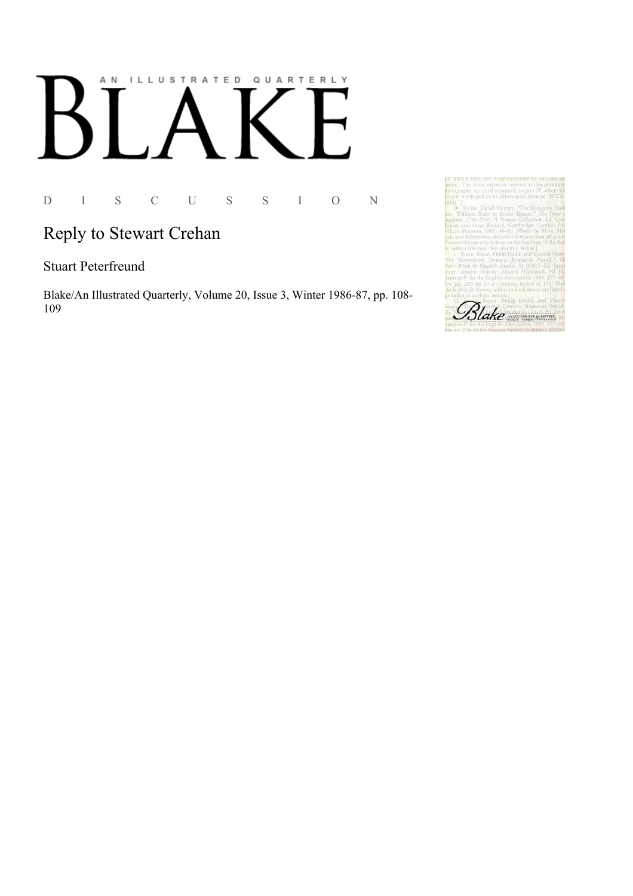# AN ILLUSTRATED QUARTERLY  $\lceil$  $\bf{B}$

D I S C U S S I O N

## Reply to Stewart Crehan

#### **Stuart Peterfreund**

Blake/An Illustrated Quarterly, Volume 20, Issue 3, Winter 1986-87, pp. 108-109

Blake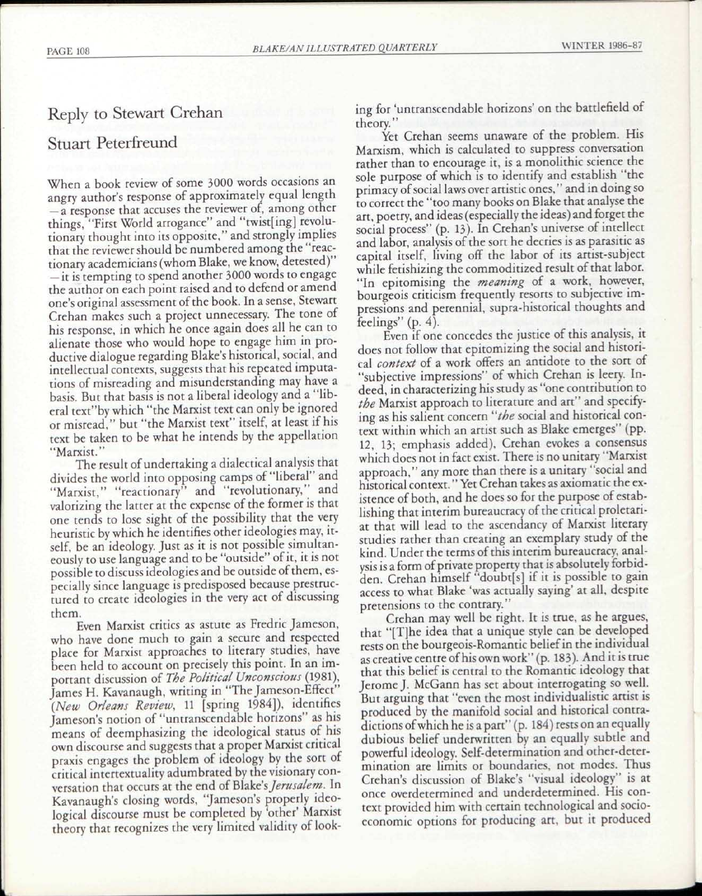### Reply to Stewart Crehan

#### Stuart Peterfreund

When a book review of some 3000 words occasions an angry author's response of approximately equal length — a response that accuses the reviewer of, among other things, "First World arrogance" and "twist[ing] revolutionary thought into its opposite," and strongly implies that the reviewer should be numbered among the "reactionary academicians (whom Blake, we know, detested)" — it is tempting to spend another 3000 words to engage the author on each point raised and to defend or amend one's original assessment of the book. In a sense, Stewart Crehan makes such a project unnecessary. The tone of his response, in which he once again does all he can to alienate those who would hope to engage him in productive dialogue regarding Blake's historical, social, and intellectual contexts, suggests that his repeated imputations of misreading and misunderstanding may have a basis. But that basis is not a liberal ideology and a "liberal text"by which "the Marxist text can only be ignored or misread," but "the Marxist text" itself, at least if his text be taken to be what he intends by the appellation "Marxist."

The result of undertaking a dialectical analysis that divides the world into opposing camps of "liberal" and "Marxist," "reactionary" and "revolutionary," and valorizing the latter at the expense of the former is that one tends to lose sight of the possibility that the very heuristic by which he identifies other ideologies may, itself, be an ideology. Just as it is not possible simultaneously to use language and to be "outside" of it, it is not possible to discuss ideologies and be outside of them, especially since language is predisposed because prestructured to create ideologies in the very act of discussing them.

Even Marxist critics as astute as Fredric Jameson, who have done much to gain a secure and respected place for Marxist approaches to literary studies, have been held to account on precisely this point. In an important discussion of *The Political Unconscious* (1981), James H. Kavanaugh, writing in "The Jameson-Effect" *(New Orleans Review,* 11 [spring 1984]), identifies Jameson's notion of "untranscendable horizons" as his means of deemphasizing the ideological status of his own discourse and suggests that a proper Marxist critical praxis engages the problem of ideology by the sort of critical intertextuality adumbrated by the visionary conversation that occurs at the end of Blake's *Jerusalem*. In Kavanaugh's closing words, "Jameson's properly ideological discourse must be completed by 'other' Marxist theory that recognizes the very limited validity of looking for 'untranscendable horizons' on the battlefield of theory."

Yet Crehan seems unaware of the problem. His Marxism, which is calculated to suppress conversation rather than to encourage it, is a monolithic science the sole purpose of which is to identify and establish "the primacy of social laws over artistic ones," and in doing so to correct the "too many books on Blake that analyse the art, poetry, and ideas (especially the ideas) and forget the social process" (p. 13). In Crehan's universe of intellect and labor, analysis of the sort he decries is as parasitic as capital itself, living off the labor of its artist-subject while fetishizing the commoditized result of that labor. "In epitomising the *meaning* of a work, however, bourgeois criticism frequently resorts to subjective impressions and perennial, supra-historical thoughts and feelings" (p. 4).

Even if one concedes the justice of this analysis, it does not follow that epitomizing the social and historical *context* of a work offers an antidote to the sort of "subjective impressions" of which Crehan is leery. Indeed, in characterizing his study as "one contribution to *the* Marxist approach to literature and art" and specifying as his salient concern *"the* social and historical context within which an artist such as Blake emerges" (pp. 12, 13; emphasis added), Crehan evokes a consensus which does not in fact exist. There is no unitary "Marxist approach," any more than there is a unitary "social and historical context." Yet Crehan takes as axiomatic the existence of both, and he does so for the purpose of establishing that interim bureaucracy of the critical proletariat that will lead to the ascendancy of Marxist literary studies rather than creating an exemplary study of the kind. Under the terms of this interim bureaucracy, analysis is a form of private property that is absolutely forbidden. Crehan himself "doubtfs] if it is possible to gain access to what Blake 'was actually saying' at all, despite pretensions to the contrary."

Crehan may well be right. It is true, as he argues, that "[T]he idea that a unique style can be developed rests on the bourgeois-Romantic belief in the individual as creative centre of his own work" (p. 183). And it is true that this belief is central to the Romantic ideology that Jerome J. McGann has set about interrogating so well. But arguing that "even the most individualistic artist is produced by the manifold social and historical contradictions of which he is a part" (p. 184) rests on an equally dubious belief underwritten by an equally subtle and powerful ideology. Self-determination and other-determination are limits or boundaries, not modes. Thus Crehan's discussion of Blake's "visual ideology" is at once overdetermined and underdetermined. His context provided him with certain technological and socioeconomic options for producing art, but it produced